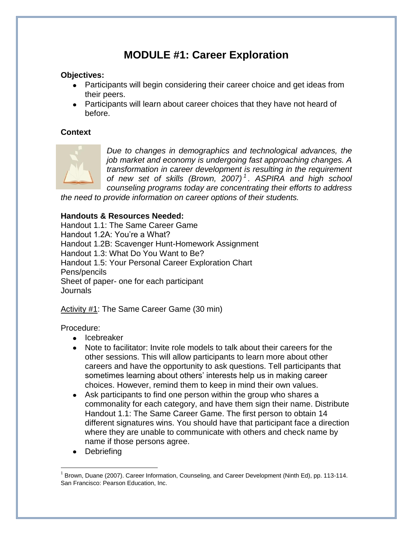# **MODULE #1: Career Exploration**

#### **Objectives:**

- Participants will begin considering their career choice and get ideas from their peers.
- Participants will learn about career choices that they have not heard of before.

#### **Context**



*Due to changes in demographics and technological advances, the job market and economy is undergoing fast approaching changes. A transformation in career development is resulting in the requirement of new set of skills (Brown, 2007) <sup>1</sup> . ASPIRA and high school counseling programs today are concentrating their efforts to address* 

*the need to provide information on career options of their students.* 

#### **Handouts & Resources Needed:**

Handout 1.1: The Same Career Game Handout 1.2A: You're a What? Handout 1.2B: Scavenger Hunt-Homework Assignment Handout 1.3: What Do You Want to Be? Handout 1.5: Your Personal Career Exploration Chart Pens/pencils Sheet of paper- one for each participant **Journals** 

Activity #1: The Same Career Game (30 min)

Procedure:

- Icebreaker
- Note to facilitator: Invite role models to talk about their careers for the other sessions. This will allow participants to learn more about other careers and have the opportunity to ask questions. Tell participants that sometimes learning about others' interests help us in making career choices. However, remind them to keep in mind their own values.
- Ask participants to find one person within the group who shares a commonality for each category, and have them sign their name. Distribute Handout 1.1: The Same Career Game. The first person to obtain 14 different signatures wins. You should have that participant face a direction where they are unable to communicate with others and check name by name if those persons agree.
- Debriefing

 $\overline{a}$ 

<sup>1</sup> Brown, Duane (2007). Career Information, Counseling, and Career Development (Ninth Ed), pp. 113-114. San Francisco: Pearson Education, Inc.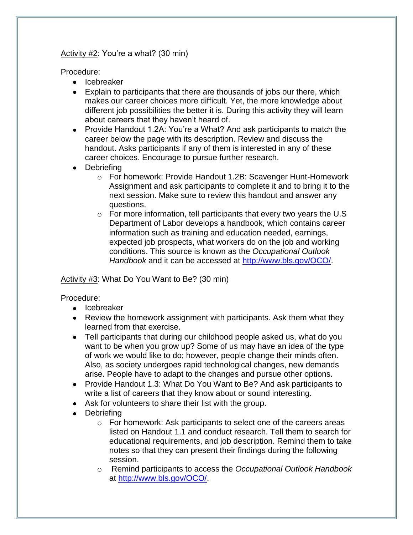#### Activity #2: You're a what? (30 min)

Procedure:

- Icebreaker
- Explain to participants that there are thousands of jobs our there, which makes our career choices more difficult. Yet, the more knowledge about different job possibilities the better it is. During this activity they will learn about careers that they haven't heard of.
- Provide Handout 1.2A: You're a What? And ask participants to match the career below the page with its description. Review and discuss the handout. Asks participants if any of them is interested in any of these career choices. Encourage to pursue further research.
- Debriefing
	- o For homework: Provide Handout 1.2B: Scavenger Hunt-Homework Assignment and ask participants to complete it and to bring it to the next session. Make sure to review this handout and answer any questions.
	- o For more information, tell participants that every two years the U.S Department of Labor develops a handbook, which contains career information such as training and education needed, earnings, expected job prospects, what workers do on the job and working conditions. This source is known as the *Occupational Outlook Handbook* and it can be accessed at [http://www.bls.gov/OCO/.](http://www.bls.gov/OCO/)

#### Activity #3: What Do You Want to Be? (30 min)

Procedure:

- Icebreaker
- Review the homework assignment with participants. Ask them what they learned from that exercise.
- Tell participants that during our childhood people asked us, what do you want to be when you grow up? Some of us may have an idea of the type of work we would like to do; however, people change their minds often. Also, as society undergoes rapid technological changes, new demands arise. People have to adapt to the changes and pursue other options.
- Provide Handout 1.3: What Do You Want to Be? And ask participants to write a list of careers that they know about or sound interesting.
- Ask for volunteers to share their list with the group.
- Debriefing
	- o For homework: Ask participants to select one of the careers areas listed on Handout 1.1 and conduct research. Tell them to search for educational requirements, and job description. Remind them to take notes so that they can present their findings during the following session.
	- o Remind participants to access the *Occupational Outlook Handbook*  at [http://www.bls.gov/OCO/.](http://www.bls.gov/OCO/)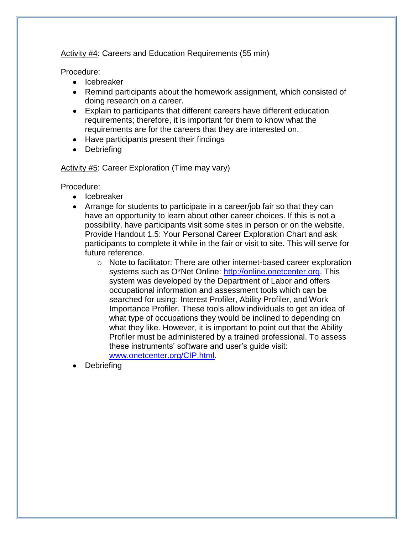Activity #4: Careers and Education Requirements (55 min)

Procedure:

- Icebreaker
- Remind participants about the homework assignment, which consisted of doing research on a career.
- Explain to participants that different careers have different education requirements; therefore, it is important for them to know what the requirements are for the careers that they are interested on.
- Have participants present their findings
- Debriefing

Activity #5: Career Exploration (Time may vary)

Procedure:

- Icebreaker
- Arrange for students to participate in a career/job fair so that they can have an opportunity to learn about other career choices. If this is not a possibility, have participants visit some sites in person or on the website. Provide Handout 1.5: Your Personal Career Exploration Chart and ask participants to complete it while in the fair or visit to site. This will serve for future reference.
	- $\circ$  Note to facilitator: There are other internet-based career exploration systems such as O\*Net Online: [http://online.onetcenter.org.](http://online.onetcenter.org/) This system was developed by the Department of Labor and offers occupational information and assessment tools which can be searched for using: Interest Profiler, Ability Profiler, and Work Importance Profiler. These tools allow individuals to get an idea of what type of occupations they would be inclined to depending on what they like. However, it is important to point out that the Ability Profiler must be administered by a trained professional. To assess these instruments' software and user's guide visit: [www.onetcenter.org/CIP.html.](http://www.onetcenter.org/CIP.html)
- Debriefing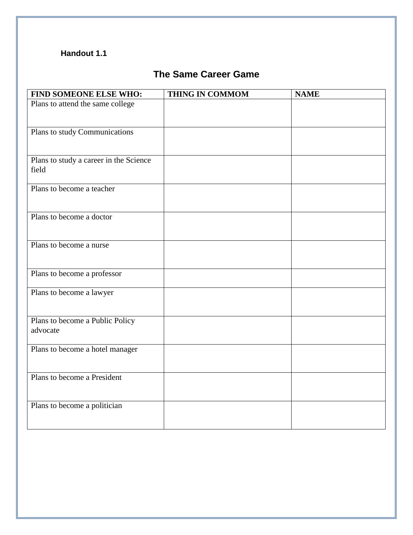### **Handout 1.1**

# **The Same Career Game**

| FIND SOMEONE ELSE WHO:                          | <b>THING IN COMMOM</b> | <b>NAME</b> |
|-------------------------------------------------|------------------------|-------------|
| Plans to attend the same college                |                        |             |
| Plans to study Communications                   |                        |             |
| Plans to study a career in the Science<br>field |                        |             |
| Plans to become a teacher                       |                        |             |
| Plans to become a doctor                        |                        |             |
| Plans to become a nurse                         |                        |             |
| Plans to become a professor                     |                        |             |
| Plans to become a lawyer                        |                        |             |
| Plans to become a Public Policy<br>advocate     |                        |             |
| Plans to become a hotel manager                 |                        |             |
| Plans to become a President                     |                        |             |
| Plans to become a politician                    |                        |             |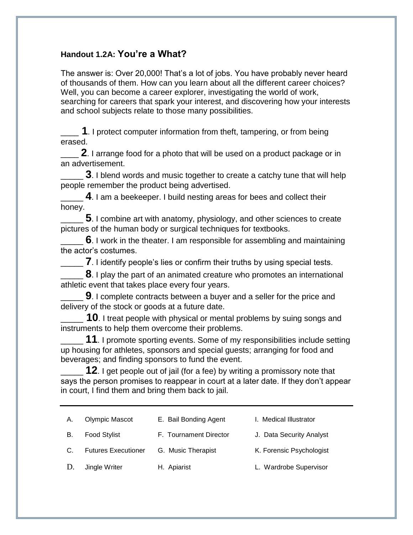#### **Handout 1.2A: You're a What?**

The answer is: Over 20,000! That's a lot of jobs. You have probably never heard of thousands of them. How can you learn about all the different career choices? Well, you can become a career explorer, investigating the world of work, searching for careers that spark your interest, and discovering how your interests and school subjects relate to those many possibilities.

**1**. I protect computer information from theft, tampering, or from being erased.

**2**. I arrange food for a photo that will be used on a product package or in an advertisement.

**3**. I blend words and music together to create a catchy tune that will help people remember the product being advertised.

4. I am a beekeeper. I build nesting areas for bees and collect their honey.

\_\_\_\_\_ **5**. I combine art with anatomy, physiology, and other sciences to create pictures of the human body or surgical techniques for textbooks.

**6**. I work in the theater. I am responsible for assembling and maintaining the actor's costumes.

**T**. I identify people's lies or confirm their truths by using special tests.

**8**. I play the part of an animated creature who promotes an international athletic event that takes place every four years.

**9**. I complete contracts between a buyer and a seller for the price and delivery of the stock or goods at a future date.

**10.** I treat people with physical or mental problems by suing songs and instruments to help them overcome their problems.

\_\_\_\_\_ **11**. I promote sporting events. Some of my responsibilities include setting up housing for athletes, sponsors and special guests; arranging for food and beverages; and finding sponsors to fund the event.

**12.** I get people out of jail (for a fee) by writing a promissory note that says the person promises to reappear in court at a later date. If they don't appear in court, I find them and bring them back to jail.

| А. | <b>Olympic Mascot</b>      | E. Bail Bonding Agent  | I. Medical Illustrator   |
|----|----------------------------|------------------------|--------------------------|
| В. | <b>Food Stylist</b>        | F. Tournament Director | J. Data Security Analyst |
| C. | <b>Futures Executioner</b> | G. Music Therapist     | K. Forensic Psychologist |
| D. | Jingle Writer              | H. Apiarist            | L. Wardrobe Supervisor   |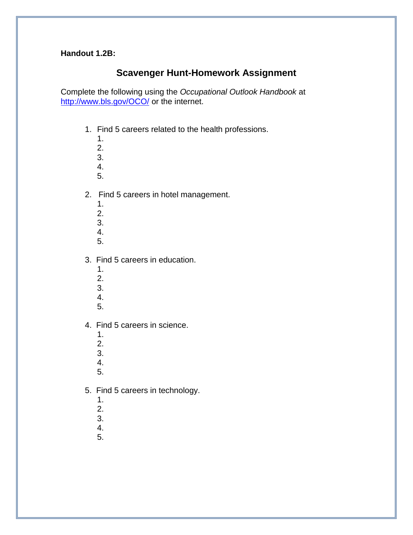#### **Handout 1.2B:**

## **Scavenger Hunt-Homework Assignment**

Complete the following using the *Occupational Outlook Handbook* at <http://www.bls.gov/OCO/> or the internet.

- 1. Find 5 careers related to the health professions.
	- 1. 2. 3. 4.
	- 5.
- 2. Find 5 careers in hotel management.
	- 1.
	- 2.
	- 3.
	- 4.
	- 5.
- 3. Find 5 careers in education.
	- 1.
	- 2.
	- 3.
	- 4.
	- 5.
- 4. Find 5 careers in science.
	- 1.
	- 2.
	- 3.
	- 4.
	- 5.
- 5. Find 5 careers in technology.
	- 1.
	- 2.
	- 3.
	- 4.
	- 5.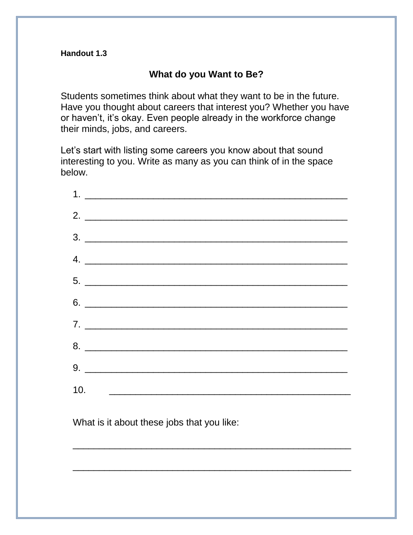#### **Handout 1.3**

### **What do you Want to Be?**

Students sometimes think about what they want to be in the future. Have you thought about careers that interest you? Whether you have or haven't, it's okay. Even people already in the workforce change their minds, jobs, and careers.

Let's start with listing some careers you know about that sound interesting to you. Write as many as you can think of in the space below.

| $\begin{tabular}{c} 2. & \begin{tabular}{@{}c@{}} \multicolumn{3}{c}{} \multicolumn{3}{c}{} \multicolumn{3}{c}{} \multicolumn{3}{c}{} \multicolumn{3}{c}{} \multicolumn{3}{c}{} \multicolumn{3}{c}{} \multicolumn{3}{c}{} \multicolumn{3}{c}{} \multicolumn{3}{c}{} \multicolumn{3}{c}{} \multicolumn{3}{c}{} \multicolumn{3}{c}{} \multicolumn{3}{c}{} \multicolumn{3}{c}{} \multicolumn{3}{c}{} \multicolumn{3}{c}{} \multicolumn{3}{c}{} \multicolumn{3}{c}{} \multicolumn{3$ |  |
|----------------------------------------------------------------------------------------------------------------------------------------------------------------------------------------------------------------------------------------------------------------------------------------------------------------------------------------------------------------------------------------------------------------------------------------------------------------------------------|--|
|                                                                                                                                                                                                                                                                                                                                                                                                                                                                                  |  |
| 4.                                                                                                                                                                                                                                                                                                                                                                                                                                                                               |  |
|                                                                                                                                                                                                                                                                                                                                                                                                                                                                                  |  |
|                                                                                                                                                                                                                                                                                                                                                                                                                                                                                  |  |
| 7.                                                                                                                                                                                                                                                                                                                                                                                                                                                                               |  |
|                                                                                                                                                                                                                                                                                                                                                                                                                                                                                  |  |
| $9. \begin{tabular}{l} \hline \end{tabular}$                                                                                                                                                                                                                                                                                                                                                                                                                                     |  |
|                                                                                                                                                                                                                                                                                                                                                                                                                                                                                  |  |

\_\_\_\_\_\_\_\_\_\_\_\_\_\_\_\_\_\_\_\_\_\_\_\_\_\_\_\_\_\_\_\_\_\_\_\_\_\_\_\_\_\_\_\_\_\_\_\_\_\_\_\_\_

\_\_\_\_\_\_\_\_\_\_\_\_\_\_\_\_\_\_\_\_\_\_\_\_\_\_\_\_\_\_\_\_\_\_\_\_\_\_\_\_\_\_\_\_\_\_\_\_\_\_\_\_\_

What is it about these jobs that you like: